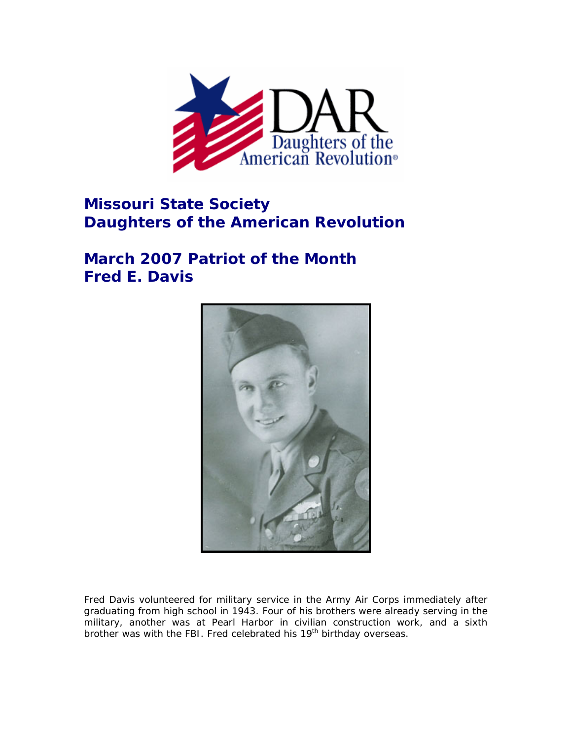

## **Missouri State Society Daughters of the American Revolution**

## **March 2007 Patriot of the Month Fred E. Davis**



Fred Davis volunteered for military service in the Army Air Corps immediately after graduating from high school in 1943. Four of his brothers were already serving in the military, another was at Pearl Harbor in civilian construction work, and a sixth brother was with the FBI. Fred celebrated his 19<sup>th</sup> birthday overseas.